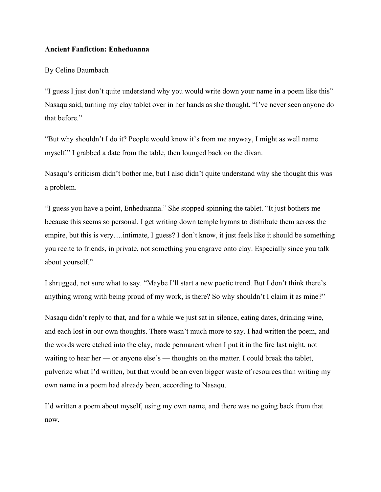## **Ancient Fanfiction: Enheduanna**

## By Celine Baumbach

"I guess I just don't quite understand why you would write down your name in a poem like this" Nasaqu said, turning my clay tablet over in her hands as she thought. "I've never seen anyone do that before."

"But why shouldn't I do it? People would know it's from me anyway, I might as well name myself." I grabbed a date from the table, then lounged back on the divan.

Nasaqu's criticism didn't bother me, but I also didn't quite understand why she thought this was a problem.

"I guess you have a point, Enheduanna." She stopped spinning the tablet. "It just bothers me because this seems so personal. I get writing down temple hymns to distribute them across the empire, but this is very….intimate, I guess? I don't know, it just feels like it should be something you recite to friends, in private, not something you engrave onto clay. Especially since you talk about yourself."

I shrugged, not sure what to say. "Maybe I'll start a new poetic trend. But I don't think there's anything wrong with being proud of my work, is there? So why shouldn't I claim it as mine?"

Nasaqu didn't reply to that, and for a while we just sat in silence, eating dates, drinking wine, and each lost in our own thoughts. There wasn't much more to say. I had written the poem, and the words were etched into the clay, made permanent when I put it in the fire last night, not waiting to hear her — or anyone else's — thoughts on the matter. I could break the tablet, pulverize what I'd written, but that would be an even bigger waste of resources than writing my own name in a poem had already been, according to Nasaqu.

I'd written a poem about myself, using my own name, and there was no going back from that now.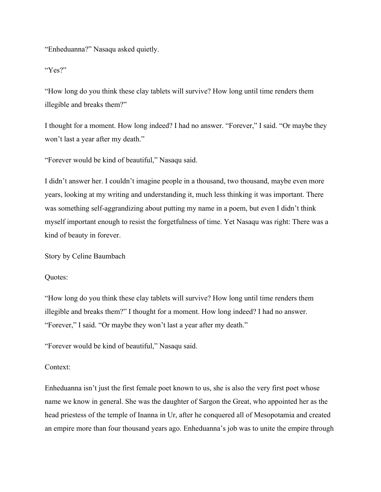"Enheduanna?" Nasaqu asked quietly.

"Yes?"

"How long do you think these clay tablets will survive? How long until time renders them illegible and breaks them?"

I thought for a moment. How long indeed? I had no answer. "Forever," I said. "Or maybe they won't last a year after my death."

"Forever would be kind of beautiful," Nasaqu said.

I didn't answer her. I couldn't imagine people in a thousand, two thousand, maybe even more years, looking at my writing and understanding it, much less thinking it was important. There was something self-aggrandizing about putting my name in a poem, but even I didn't think myself important enough to resist the forgetfulness of time. Yet Nasaqu was right: There was a kind of beauty in forever.

Story by Celine Baumbach

Quotes:

"How long do you think these clay tablets will survive? How long until time renders them illegible and breaks them?" I thought for a moment. How long indeed? I had no answer. "Forever," I said. "Or maybe they won't last a year after my death."

"Forever would be kind of beautiful," Nasaqu said.

## Context:

Enheduanna isn't just the first female poet known to us, she is also the very first poet whose name we know in general. She was the daughter of Sargon the Great, who appointed her as the head priestess of the temple of Inanna in Ur, after he conquered all of Mesopotamia and created an empire more than four thousand years ago. Enheduanna's job was to unite the empire through